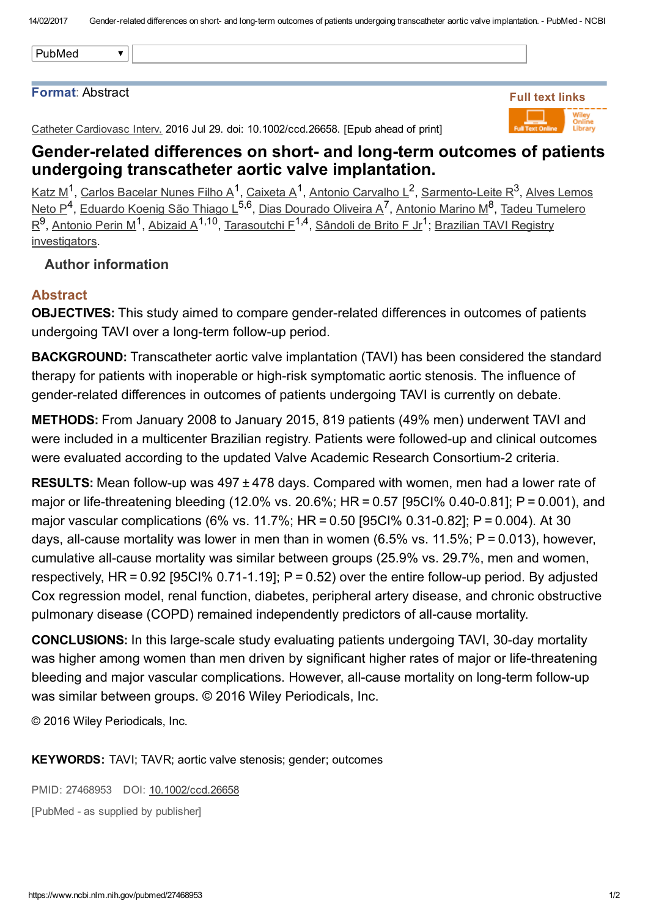#### Format: Abstract

Catheter Cardiovasc Interv. 2016 Jul 29. doi: 10.1002/ccd.26658. [Epub ahead of print]



## Gender-related differences on short- and long-term outcomes of patients undergoing transcatheter aortic valve implantation.

<u>[Katz](https://www.ncbi.nlm.nih.gov/pubmed/?term=Katz%20M%5BAuthor%5D&cauthor=true&cauthor_uid=27468953) M</u><sup>1</sup>, Carlos [Bacelar](https://www.ncbi.nlm.nih.gov/pubmed/?term=Carlos%20Bacelar%20Nunes%20Filho%20A%5BAuthor%5D&cauthor=true&cauthor_uid=27468953) Nunes Filho A<sup>1</sup>, [Caixeta](https://www.ncbi.nlm.nih.gov/pubmed/?term=Caixeta%20A%5BAuthor%5D&cauthor=true&cauthor_uid=27468953) A<sup>1</sup>, Antonio [Carvalho](https://www.ncbi.nlm.nih.gov/pubmed/?term=Antonio%20Carvalho%20L%5BAuthor%5D&cauthor=true&cauthor_uid=27468953) L<sup>2</sup>, [S](https://www.ncbi.nlm.nih.gov/pubmed/?term=Alves%20Lemos%20Neto%20P%5BAuthor%5D&cauthor=true&cauthor_uid=27468953)armento-Leite R<sup>3</sup>, Alves Lemos Neto P<sup>4</sup>, [Eduardo](https://www.ncbi.nlm.nih.gov/pubmed/?term=Eduardo%20Koenig%20S%C3%A3o%20Thiago%20L%5BAuthor%5D&cauthor=true&cauthor_uid=27468953) Koenig São Thiago L<sup>5,6</sup>, Dias [Dourado](https://www.ncbi.nlm.nih.gov/pubmed/?term=Dias%20Dourado%20Oliveira%20A%5BAuthor%5D&cauthor=true&cauthor_uid=27468953) Oliveira A<sup>7</sup>, [Antonio](https://www.ncbi.nlm.nih.gov/pubmed/?term=Antonio%20Marino%20M%5BAuthor%5D&cauthor=true&cauthor_uid=27468953) Marino M<sup>8</sup>, Tadeu Tumelero  $R^9$ , [Antonio](https://www.ncbi.nlm.nih.gov/pubmed/?term=Antonio%20Perin%20M%5BAuthor%5D&cauthor=true&cauthor_uid=27468953) Perin M<sup>1</sup>, [Abizaid](https://www.ncbi.nlm.nih.gov/pubmed/?term=Abizaid%20A%5BAuthor%5D&cauthor=true&cauthor_uid=27468953) A<sup>1,10</sup>, [Tarasoutchi](https://www.ncbi.nlm.nih.gov/pubmed/?term=Tadeu%20Tumelero%20R%5BAuthor%5D&cauthor=true&cauthor_uid=27468953) F<sup>1,4</sup>, [Sândoli](https://www.ncbi.nlm.nih.gov/pubmed/?term=S%C3%A2ndoli%20de%20Brito%20F%20Jr%5BAuthor%5D&cauthor=true&cauthor_uid=27468953) de Brito F Jr<sup>1</sup>; Brazilian TAVI Registry [investigators.](https://www.ncbi.nlm.nih.gov/pubmed/?term=Brazilian%20TAVI%20Registry%20investigators%5BCorporate%20Author%5D)

### Author information

## Abstract

OBJECTIVES: This study aimed to compare gender-related differences in outcomes of patients undergoing TAVI over a long-term follow-up period.

BACKGROUND: Transcatheter aortic valve implantation (TAVI) has been considered the standard therapy for patients with inoperable or high-risk symptomatic aortic stenosis. The influence of gender-related differences in outcomes of patients undergoing TAVI is currently on debate.

METHODS: From January 2008 to January 2015, 819 patients (49% men) underwent TAVI and were included in a multicenter Brazilian registry. Patients were followed-up and clinical outcomes were evaluated according to the updated Valve Academic Research Consortium-2 criteria.

**RESULTS:** Mean follow-up was  $497 \pm 478$  days. Compared with women, men had a lower rate of major or life-threatening bleeding (12.0% vs. 20.6%; HR =  $0.57$  [95CI% 0.40-0.81]; P = 0.001), and major vascular complications (6% vs. 11.7%; HR = 0.50 [95CI% 0.310.82]; P = 0.004). At 30 days, all-cause mortality was lower in men than in women (6.5% vs. 11.5%;  $P = 0.013$ ), however, cumulative all-cause mortality was similar between groups (25.9% vs. 29.7%, men and women, respectively,  $HR = 0.92$  [95Cl% 0.71-1.19];  $P = 0.52$ ) over the entire follow-up period. By adjusted Cox regression model, renal function, diabetes, peripheral artery disease, and chronic obstructive pulmonary disease (COPD) remained independently predictors of all-cause mortality.

**CONCLUSIONS:** In this large-scale study evaluating patients undergoing TAVI, 30-day mortality was higher among women than men driven by significant higher rates of major or life-threatening bleeding and major vascular complications. However, all-cause mortality on long-term follow-up was similar between groups. © 2016 Wiley Periodicals, Inc.

© 2016 Wiley Periodicals, Inc.

KEYWORDS: TAVI; TAVR; aortic valve stenosis; gender; outcomes

PMID: 27468953 DOI: [10.1002/ccd.26658](https://dx.doi.org/10.1002/ccd.26658) [PubMed - as supplied by publisher]